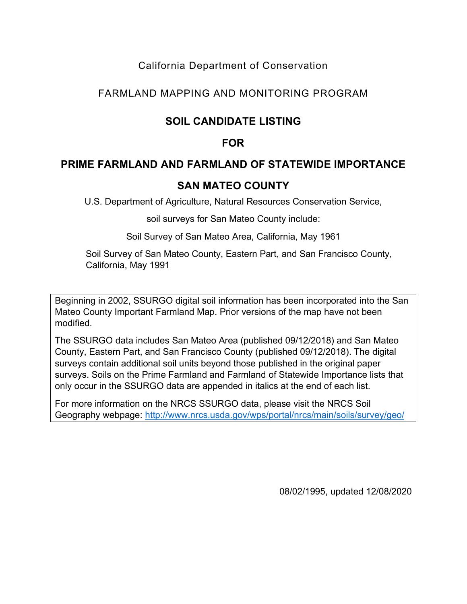### California Department of Conservation

### FARMLAND MAPPING AND MONITORING PROGRAM

# **SOIL CANDIDATE LISTING**

## **FOR**

### **PRIME FARMLAND AND FARMLAND OF STATEWIDE IMPORTANCE**

## **SAN MATEO COUNTY**

U.S. Department of Agriculture, Natural Resources Conservation Service,

soil surveys for San Mateo County include:

Soil Survey of San Mateo Area, California, May 1961

Soil Survey of San Mateo County, Eastern Part, and San Francisco County, California, May 1991

Beginning in 2002, SSURGO digital soil information has been incorporated into the San Mateo County Important Farmland Map. Prior versions of the map have not been modified.

The SSURGO data includes San Mateo Area (published 09/12/2018) and San Mateo County, Eastern Part, and San Francisco County (published 09/12/2018). The digital surveys contain additional soil units beyond those published in the original paper surveys. Soils on the Prime Farmland and Farmland of Statewide Importance lists that only occur in the SSURGO data are appended in italics at the end of each list.

For more information on the NRCS SSURGO data, please visit the NRCS Soil Geography webpage:<http://www.nrcs.usda.gov/wps/portal/nrcs/main/soils/survey/geo/>

08/02/1995, updated 12/08/2020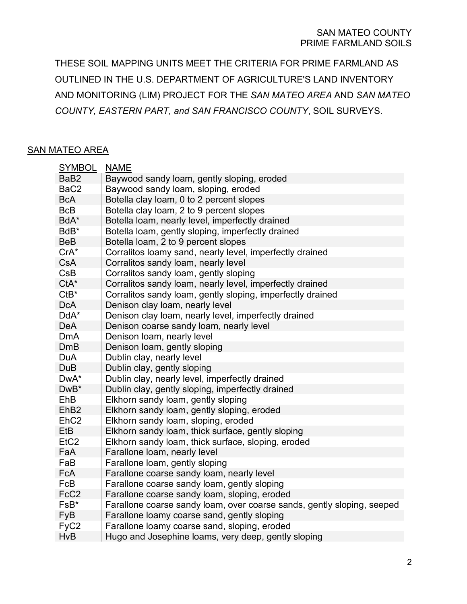THESE SOIL MAPPING UNITS MEET THE CRITERIA FOR PRIME FARMLAND AS OUTLINED IN THE U.S. DEPARTMENT OF AGRICULTURE'S LAND INVENTORY AND MONITORING (LIM) PROJECT FOR THE *SAN MATEO AREA* AND *SAN MATEO COUNTY, EASTERN PART, and SAN FRANCISCO COUNTY*, SOIL SURVEYS.

#### SAN MATEO AREA

| <b>SYMBOL</b>    | <b>NAME</b>                                                            |
|------------------|------------------------------------------------------------------------|
| BaB2             | Baywood sandy loam, gently sloping, eroded                             |
| BaC <sub>2</sub> | Baywood sandy loam, sloping, eroded                                    |
| <b>BcA</b>       | Botella clay loam, 0 to 2 percent slopes                               |
| <b>BcB</b>       | Botella clay loam, 2 to 9 percent slopes                               |
| BdA*             | Botella loam, nearly level, imperfectly drained                        |
| BdB*             | Botella loam, gently sloping, imperfectly drained                      |
| <b>BeB</b>       | Botella loam, 2 to 9 percent slopes                                    |
| $CrA*$           | Corralitos loamy sand, nearly level, imperfectly drained               |
| <b>CsA</b>       | Corralitos sandy loam, nearly level                                    |
| CsB              | Corralitos sandy loam, gently sloping                                  |
| $CtA*$           | Corralitos sandy loam, nearly level, imperfectly drained               |
| $CtB^*$          | Corralitos sandy loam, gently sloping, imperfectly drained             |
| <b>DcA</b>       | Denison clay loam, nearly level                                        |
| DdA*             | Denison clay loam, nearly level, imperfectly drained                   |
| <b>DeA</b>       | Denison coarse sandy loam, nearly level                                |
| <b>DmA</b>       | Denison loam, nearly level                                             |
| <b>DmB</b>       | Denison loam, gently sloping                                           |
| <b>DuA</b>       | Dublin clay, nearly level                                              |
| <b>DuB</b>       | Dublin clay, gently sloping                                            |
| DwA*             | Dublin clay, nearly level, imperfectly drained                         |
| DwB*             | Dublin clay, gently sloping, imperfectly drained                       |
| EhB              | Elkhorn sandy loam, gently sloping                                     |
| Eh <sub>B2</sub> | Elkhorn sandy loam, gently sloping, eroded                             |
| EhC <sub>2</sub> | Elkhorn sandy loam, sloping, eroded                                    |
| EtB              | Elkhorn sandy loam, thick surface, gently sloping                      |
| EtC <sub>2</sub> | Elkhorn sandy loam, thick surface, sloping, eroded                     |
| FaA              | Farallone loam, nearly level                                           |
| FaB              | Farallone loam, gently sloping                                         |
| <b>FcA</b>       | Farallone coarse sandy loam, nearly level                              |
| FcB              | Farallone coarse sandy loam, gently sloping                            |
| FcC <sub>2</sub> | Farallone coarse sandy loam, sloping, eroded                           |
| FsB*             | Farallone coarse sandy loam, over coarse sands, gently sloping, seeped |
| FyB              | Farallone loamy coarse sand, gently sloping                            |
| FyC <sub>2</sub> | Farallone loamy coarse sand, sloping, eroded                           |
| <b>HvB</b>       | Hugo and Josephine loams, very deep, gently sloping                    |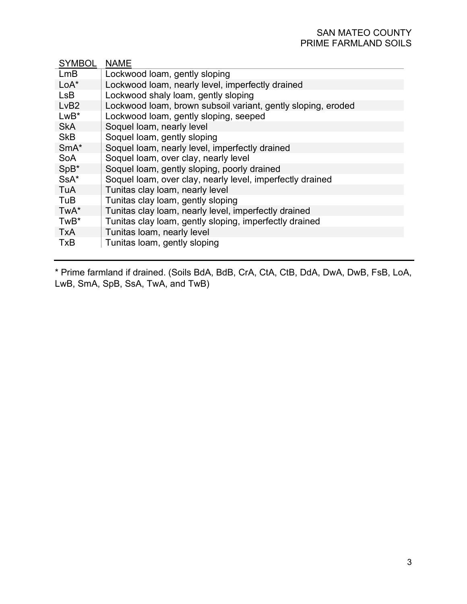#### SAN MATEO COUNTY PRIME FARMLAND SOILS

| <b>SYMBOL</b> | <b>NAME</b>                                                  |
|---------------|--------------------------------------------------------------|
| LmB           | Lockwood loam, gently sloping                                |
| $LoA^*$       | Lockwood loam, nearly level, imperfectly drained             |
| <b>LsB</b>    | Lockwood shaly loam, gently sloping                          |
| LvB2          | Lockwood loam, brown subsoil variant, gently sloping, eroded |
| $LwB*$        | Lockwood loam, gently sloping, seeped                        |
| <b>SkA</b>    | Soquel Ioam, nearly level                                    |
| <b>SkB</b>    | Soquel loam, gently sloping                                  |
| $SmA*$        | Soquel loam, nearly level, imperfectly drained               |
| <b>SoA</b>    | Soquel loam, over clay, nearly level                         |
| SpB*          | Soquel loam, gently sloping, poorly drained                  |
| SsA*          | Soquel loam, over clay, nearly level, imperfectly drained    |
| TuA           | Tunitas clay loam, nearly level                              |
| TuB           | Tunitas clay loam, gently sloping                            |
| TwA*          | Tunitas clay loam, nearly level, imperfectly drained         |
| TwB*          | Tunitas clay loam, gently sloping, imperfectly drained       |
| <b>TxA</b>    | Tunitas loam, nearly level                                   |
| <b>TxB</b>    | Tunitas loam, gently sloping                                 |

\* Prime farmland if drained. (Soils BdA, BdB, CrA, CtA, CtB, DdA, DwA, DwB, FsB, LoA, LwB, SmA, SpB, SsA, TwA, and TwB)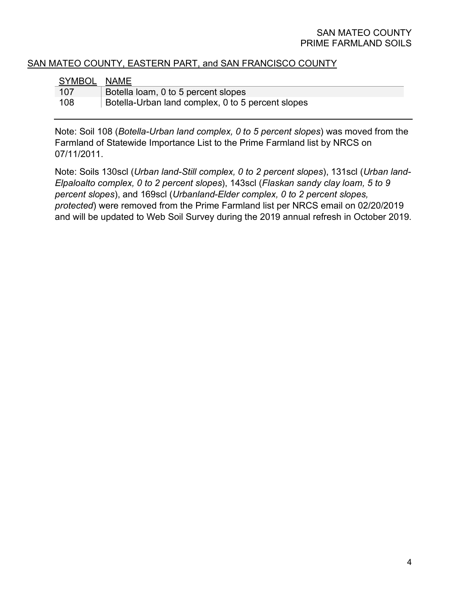#### SAN MATEO COUNTY PRIME FARMLAND SOILS

### SAN MATEO COUNTY, EASTERN PART, and SAN FRANCISCO COUNTY

| SYMBOL NAME |                                                   |
|-------------|---------------------------------------------------|
| 107         | Botella loam, 0 to 5 percent slopes               |
| 108         | Botella-Urban land complex, 0 to 5 percent slopes |

Note: Soil 108 (*Botella-Urban land complex, 0 to 5 percent slopes*) was moved from the Farmland of Statewide Importance List to the Prime Farmland list by NRCS on 07/11/2011.

Note: Soils 130scl (*Urban land-Still complex, 0 to 2 percent slopes*), 131scl (*Urban land-Elpaloalto complex, 0 to 2 percent slopes*), 143scl (*Flaskan sandy clay loam, 5 to 9 percent slopes*), and 169scl (*Urbanland-Elder complex, 0 to 2 percent slopes, protected*) were removed from the Prime Farmland list per NRCS email on 02/20/2019 and will be updated to Web Soil Survey during the 2019 annual refresh in October 2019.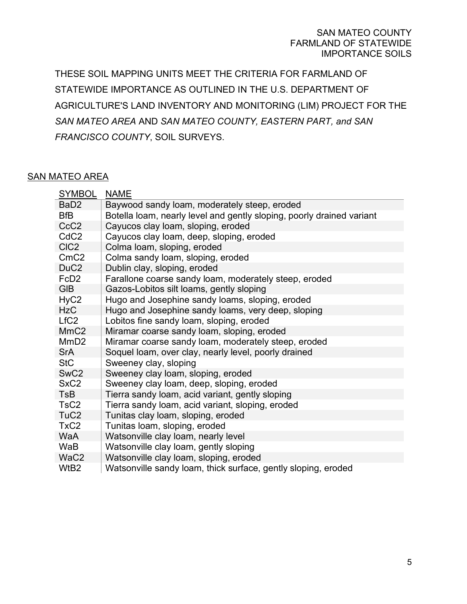#### SAN MATEO COUNTY FARMLAND OF STATEWIDE IMPORTANCE SOILS

THESE SOIL MAPPING UNITS MEET THE CRITERIA FOR FARMLAND OF STATEWIDE IMPORTANCE AS OUTLINED IN THE U.S. DEPARTMENT OF AGRICULTURE'S LAND INVENTORY AND MONITORING (LIM) PROJECT FOR THE *SAN MATEO AREA* AND *SAN MATEO COUNTY, EASTERN PART, and SAN FRANCISCO COUNTY*, SOIL SURVEYS.

#### SAN MATEO AREA

| <b>SYMBOL</b>    | <b>NAME</b>                                                           |
|------------------|-----------------------------------------------------------------------|
| BaD <sub>2</sub> | Baywood sandy loam, moderately steep, eroded                          |
| <b>BfB</b>       | Botella loam, nearly level and gently sloping, poorly drained variant |
| CcC <sub>2</sub> | Cayucos clay loam, sloping, eroded                                    |
| CdC <sub>2</sub> | Cayucos clay loam, deep, sloping, eroded                              |
| CIC <sub>2</sub> | Colma loam, sloping, eroded                                           |
| CmC2             | Colma sandy loam, sloping, eroded                                     |
| DuC <sub>2</sub> | Dublin clay, sloping, eroded                                          |
| FcD <sub>2</sub> | Farallone coarse sandy loam, moderately steep, eroded                 |
| <b>GIB</b>       | Gazos-Lobitos silt loams, gently sloping                              |
| HyC <sub>2</sub> | Hugo and Josephine sandy loams, sloping, eroded                       |
| <b>HzC</b>       | Hugo and Josephine sandy loams, very deep, sloping                    |
| LfC <sub>2</sub> | Lobitos fine sandy loam, sloping, eroded                              |
| MmC <sub>2</sub> | Miramar coarse sandy loam, sloping, eroded                            |
| MmD <sub>2</sub> | Miramar coarse sandy loam, moderately steep, eroded                   |
| <b>SrA</b>       | Soquel loam, over clay, nearly level, poorly drained                  |
| <b>StC</b>       | Sweeney clay, sloping                                                 |
| SwC <sub>2</sub> | Sweeney clay loam, sloping, eroded                                    |
| SxC <sub>2</sub> | Sweeney clay loam, deep, sloping, eroded                              |
| <b>TsB</b>       | Tierra sandy loam, acid variant, gently sloping                       |
| TsC <sub>2</sub> | Tierra sandy loam, acid variant, sloping, eroded                      |
| TuC <sub>2</sub> | Tunitas clay loam, sloping, eroded                                    |
| TxC <sub>2</sub> | Tunitas loam, sloping, eroded                                         |
| <b>WaA</b>       | Watsonville clay loam, nearly level                                   |
| WaB              | Watsonville clay loam, gently sloping                                 |
| WaC <sub>2</sub> | Watsonville clay loam, sloping, eroded                                |
| WtB2             | Watsonville sandy loam, thick surface, gently sloping, eroded         |